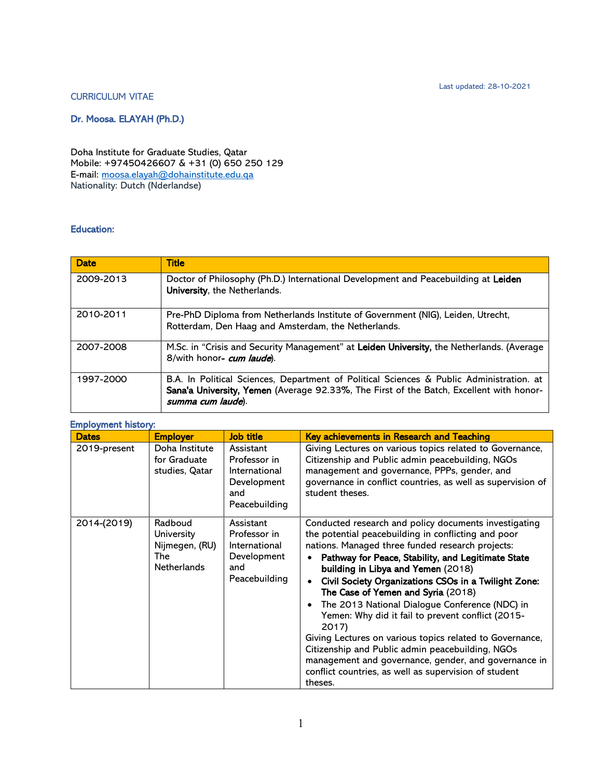Last updated: 28-10-2021

#### CURRICULUM VITAE

Dr. Moosa. ELAYAH (Ph.D.)

Doha Institute for Graduate Studies, Qatar Mobile: +97450426607 & +31 (0) 650 250 129 E-mail: [moosa.elayah@dohainstitute.edu.qa](mailto:moosa.elayah@dohainstitute.edu.qa) Nationality: Dutch (Nderlandse)

## Education:

| <b>Date</b> | <b>Title</b>                                                                                                                                                                                             |
|-------------|----------------------------------------------------------------------------------------------------------------------------------------------------------------------------------------------------------|
| 2009-2013   | Doctor of Philosophy (Ph.D.) International Development and Peacebuilding at Leiden<br>University, the Netherlands.                                                                                       |
| 2010-2011   | Pre-PhD Diploma from Netherlands Institute of Government (NIG), Leiden, Utrecht,<br>Rotterdam, Den Haag and Amsterdam, the Netherlands.                                                                  |
| 2007-2008   | M.Sc. in "Crisis and Security Management" at Leiden University, the Netherlands. (Average<br>8/with honor- cum laude).                                                                                   |
| 1997-2000   | B.A. In Political Sciences, Department of Political Sciences & Public Administration. at<br>Sana'a University, Yemen (Average 92.33%, The First of the Batch, Excellent with honor-<br>summa cum laude). |

|  | <b>Employment history:</b> |  |
|--|----------------------------|--|
|  |                            |  |

| <b>Dates</b> | <b>Employer</b>                                                      | Job title                                                                         | Key achievements in Research and Teaching                                                                                                                                                                                                                                                                                                                                                                                                                                                                                                                                                                                                                                                                              |
|--------------|----------------------------------------------------------------------|-----------------------------------------------------------------------------------|------------------------------------------------------------------------------------------------------------------------------------------------------------------------------------------------------------------------------------------------------------------------------------------------------------------------------------------------------------------------------------------------------------------------------------------------------------------------------------------------------------------------------------------------------------------------------------------------------------------------------------------------------------------------------------------------------------------------|
| 2019-present | Doha Institute<br>for Graduate<br>studies, Qatar                     | Assistant<br>Professor in<br>International<br>Development<br>and<br>Peacebuilding | Giving Lectures on various topics related to Governance,<br>Citizenship and Public admin peacebuilding, NGOs<br>management and governance, PPPs, gender, and<br>governance in conflict countries, as well as supervision of<br>student theses.                                                                                                                                                                                                                                                                                                                                                                                                                                                                         |
| 2014-(2019)  | Radboud<br>University<br>Nijmegen, (RU)<br>The<br><b>Netherlands</b> | Assistant<br>Professor in<br>International<br>Development<br>and<br>Peacebuilding | Conducted research and policy documents investigating<br>the potential peacebuilding in conflicting and poor<br>nations. Managed three funded research projects:<br>Pathway for Peace, Stability, and Legitimate State<br>building in Libya and Yemen (2018)<br>Civil Society Organizations CSOs in a Twilight Zone:<br>The Case of Yemen and Syria (2018)<br>The 2013 National Dialogue Conference (NDC) in<br>Yemen: Why did it fail to prevent conflict (2015-<br>2017)<br>Giving Lectures on various topics related to Governance,<br>Citizenship and Public admin peacebuilding, NGOs<br>management and governance, gender, and governance in<br>conflict countries, as well as supervision of student<br>theses. |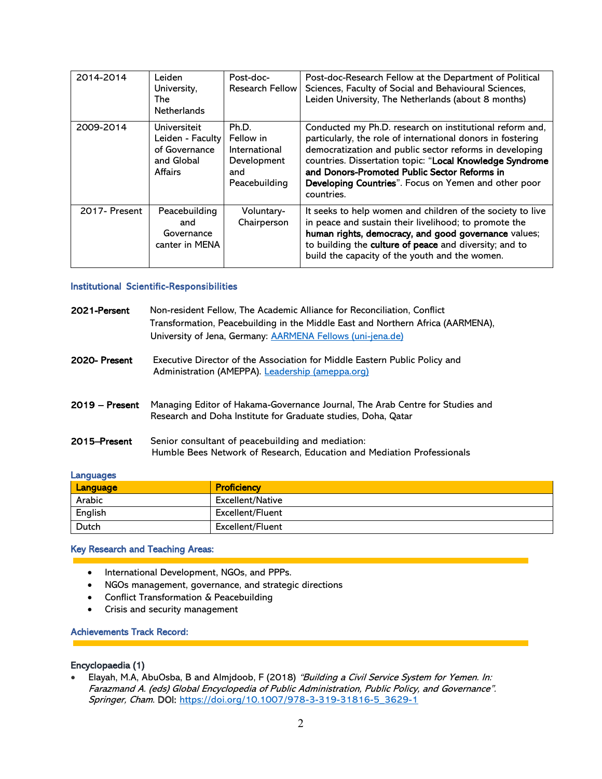| 2014-2014     | Leiden<br>University,<br>The<br><b>Netherlands</b>                                | Post-doc-<br><b>Research Fellow</b>                                        | Post-doc-Research Fellow at the Department of Political<br>Sciences, Faculty of Social and Behavioural Sciences,<br>Leiden University, The Netherlands (about 8 months)                                                                                                                                                                                              |
|---------------|-----------------------------------------------------------------------------------|----------------------------------------------------------------------------|----------------------------------------------------------------------------------------------------------------------------------------------------------------------------------------------------------------------------------------------------------------------------------------------------------------------------------------------------------------------|
| 2009-2014     | Universiteit<br>Leiden - Faculty<br>of Governance<br>and Global<br><b>Affairs</b> | Ph.D.<br>Fellow in<br>International<br>Development<br>and<br>Peacebuilding | Conducted my Ph.D. research on institutional reform and,<br>particularly, the role of international donors in fostering<br>democratization and public sector reforms in developing<br>countries. Dissertation topic: "Local Knowledge Syndrome<br>and Donors-Promoted Public Sector Reforms in<br>Developing Countries". Focus on Yemen and other poor<br>countries. |
| 2017- Present | Peacebuilding<br>and<br>Governance<br>canter in MENA                              | Voluntary-<br>Chairperson                                                  | It seeks to help women and children of the society to live<br>in peace and sustain their livelihood; to promote the<br>human rights, democracy, and good governance values;<br>to building the culture of peace and diversity; and to<br>build the capacity of the youth and the women.                                                                              |

# Institutional Scientific-Responsibilities

| 2021-Persent     | Non-resident Fellow, The Academic Alliance for Reconciliation, Conflict<br>Transformation, Peacebuilding in the Middle East and Northern Africa (AARMENA),<br>University of Jena, Germany: AARMENA Fellows (uni-jena.de) |
|------------------|--------------------------------------------------------------------------------------------------------------------------------------------------------------------------------------------------------------------------|
| 2020-Present     | Executive Director of the Association for Middle Eastern Public Policy and<br>Administration (AMEPPA). Leadership (ameppa.org)                                                                                           |
| $2019 -$ Present | Managing Editor of Hakama-Governance Journal, The Arab Centre for Studies and<br>Research and Doha Institute for Graduate studies, Doha, Qatar                                                                           |
| 2015–Present     | Senior consultant of peacebuilding and mediation:<br>Humble Bees Network of Research, Education and Mediation Professionals                                                                                              |

| <b>Languages</b> |  |  |
|------------------|--|--|
|                  |  |  |

| <u>the company of the company of the company of the company of the company of the company of the company of the company of the company of the company of the company of the company of the company of the company of the company</u><br>Language | <b>Proficiency</b> |
|--------------------------------------------------------------------------------------------------------------------------------------------------------------------------------------------------------------------------------------------------|--------------------|
| Arabic                                                                                                                                                                                                                                           | Excellent/Native   |
| English                                                                                                                                                                                                                                          | Excellent/Fluent   |
| Dutch                                                                                                                                                                                                                                            | Excellent/Fluent   |

## Key Research and Teaching Areas:

- International Development, NGOs, and PPPs.
- NGOs management, governance, and strategic directions
- Conflict Transformation & Peacebuilding
- Crisis and security management

#### Achievements Track Record:

## Encyclopaedia (1)

• Elayah, M.A, AbuOsba, B and Almjdoob, F (2018) "Building a Civil Service System for Yemen. In: Farazmand A. (eds) Global Encyclopedia of Public Administration, Public Policy, and Governance". Springer, Cham. DOI: [https://doi.org/10.1007/978-3-319-31816-5\\_3629-1](https://doi.org/10.1007/978-3-319-31816-5_3629-1)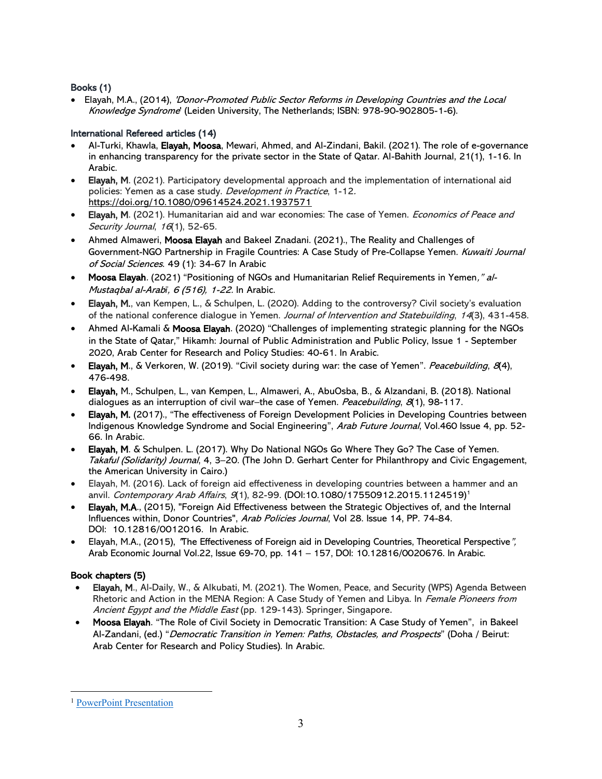# Books (1)

• Elayah, M.A., (2014), 'Donor-Promoted Public Sector Reforms in Developing Countries and the Local Knowledge Syndrome' (Leiden University, The Netherlands; ISBN: 978-90-902805-1-6).

## International Refereed articles (14)

- Al-Turki, Khawla, Elayah, Moosa, Mewari, Ahmed, and Al-Zindani, Bakil. (2021). The role of e-governance in enhancing transparency for the private sector in the State of Qatar. Al-Bahith Journal, 21(1), 1-16. In Arabic.
- Elayah, M. (2021). Participatory developmental approach and the implementation of international aid policies: Yemen as a case study. Development in Practice, 1-12. [https://doi.org/10.1080/09614524.2021.1937571](https://eur03.safelinks.protection.outlook.com/?url=https%3A%2F%2Fdoi.org%2F10.1080%2F09614524.2021.1937571&data=04%7C01%7Cmoosa.elayah%40dohainstitute.edu.qa%7Ca027a9b2aea4455ce59408d94563e48e%7Cdd2a2bdcb2b94005bbb65a5b635ada77%7C0%7C0%7C637617118522560878%7CUnknown%7CTWFpbGZsb3d8eyJWIjoiMC4wLjAwMDAiLCJQIjoiV2luMzIiLCJBTiI6Ik1haWwiLCJXVCI6Mn0%3D%7C2000&sdata=7v8j9qTqayNoMMTFaJVW3HBwUr3uJ8i8GzKVWoWz0HY%3D&reserved=0)
- Elayah, M. (2021). Humanitarian aid and war economies: The case of Yemen. *Economics of Peace and* Security Journal, 16(1), 52-65.
- Ahmed Almaweri, Moosa Elayah and Bakeel Znadani. (2021)., The Reality and Challenges of Government-NGO Partnership in Fragile Countries: A Case Study of Pre-Collapse Yemen. Kuwaiti Journal of Social Sciences. 49 (1): 34-67 In Arabic
- Moosa Elayah. (2021) "Positioning of NGOs and Humanitarian Relief Requirements in Yemen," al-Mustaqbal al-Arab*ī*, 6 (516), 1-22. In Arabic.
- Elayah, M., van Kempen, L., & Schulpen, L. (2020). Adding to the controversy? Civil society's evaluation of the national conference dialogue in Yemen. Journal of Intervention and Statebuilding, 14(3), 431-458.
- Ahmed Al-Kamali & Moosa Elayah. (2020) "Challenges of implementing strategic planning for the NGOs in the State of Qatar," Hikamh: Journal of Public Administration and Public Policy, Issue 1 - September 2020, Arab Center for Research and Policy Studies: 40-61. In Arabic.
- Elayah, M., & Verkoren, W. (2019). "Civil society during war: the case of Yemen". Peacebuilding, 8(4), 476-498.
- Elayah, M., Schulpen, L., van Kempen, L., Almaweri, A., AbuOsba, B., & Alzandani, B. (2018). National dialogues as an interruption of civil war–the case of Yemen. Peacebuilding, 8(1), 98-117.
- Elayah, M. (2017)., "The effectiveness of Foreign Development Policies in Developing Countries between Indigenous Knowledge Syndrome and Social Engineering", Arab Future Journal, Vol.460 Issue 4, pp. 52-66. In Arabic.
- Elayah, M. & Schulpen. L. (2017). Why Do National NGOs Go Where They Go? The Case of Yemen. Takaful (Solidarity) Journal, 4, 3-20. (The John D. Gerhart Center for Philanthropy and Civic Engagement, the American University in Cairo.)
- Elayah, M. (2016). Lack of foreign aid effectiveness in developing countries between a hammer and an anvil. Contemporary Arab Affairs, 9(1), 82-99. (DOI:10.1080/17550912.2015.1124519)<sup>1</sup>
- Elayah, M.A., (2015), "Foreign Aid Effectiveness between the Strategic Objectives of, and the Internal Influences within, Donor Countries", Arab Policies Journal, Vol 28. Issue 14, PP. 74-84. DOI: 10.12816/0012016. In Arabic.
- Elayah, M.A., (2015), "The Effectiveness of Foreign aid in Developing Countries, Theoretical Perspective", Arab Economic Journal Vol.22, Issue 69-70, pp. 141 – 157, DOI: 10.12816/0020676. In Arabic.

# Book chapters (5)

- Elayah, M., Al-Daily, W., & Alkubati, M. (2021). The Women, Peace, and Security (WPS) Agenda Between Rhetoric and Action in the MENA Region: A Case Study of Yemen and Libya. In Female Pioneers from Ancient Egypt and the Middle East (pp. 129-143). Springer, Singapore.
- Moosa Elayah. "The Role of Civil Society in Democratic Transition: A Case Study of Yemen", in Bakeel Al-Zandani, (ed.) "Democratic Transition in Yemen: Paths, Obstacles, and Prospects" (Doha / Beirut: Arab Center for Research and Policy Studies). In Arabic.

<sup>&</sup>lt;sup>1</sup> [PowerPoint Presentation](https://s3.amazonaws.com/mandrill-email-images/SDG%20Partnerships%20Agenda%202030%20-%20Accelerating%20Progress%20Report.pdf)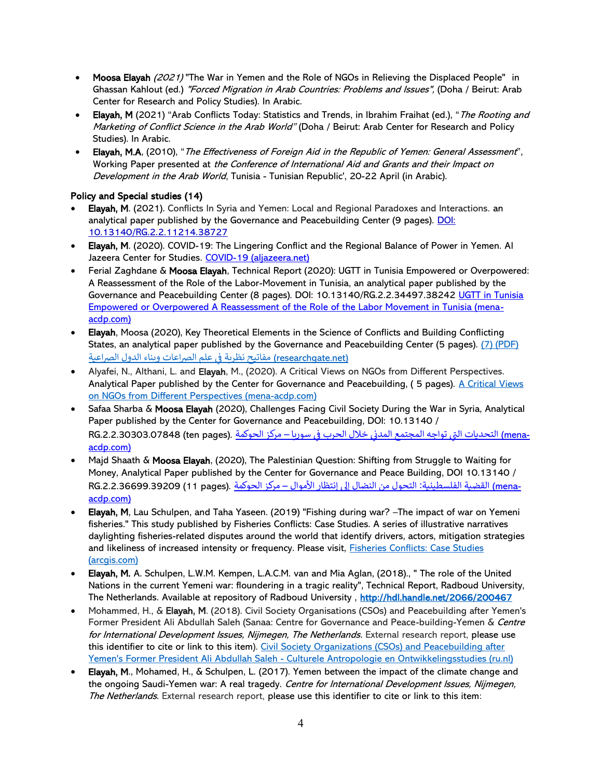- Moosa Elayah (2021) "The War in Yemen and the Role of NGOs in Relieving the Displaced People" in Ghassan Kahlout (ed.) "Forced Migration in Arab Countries: Problems and Issues", (Doha / Beirut: Arab Center for Research and Policy Studies). In Arabic.
- Elayah, M (2021) "Arab Conflicts Today: Statistics and Trends, in Ibrahim Fraihat (ed.), "The Rooting and Marketing of Conflict Science in the Arab World" (Doha / Beirut: Arab Center for Research and Policy Studies). In Arabic.
- Elayah, M.A, (2010), "The Effectiveness of Foreign Aid in the Republic of Yemen: General Assessment", Working Paper presented at the Conference of International Aid and Grants and their Impact on Development in the Arab World, Tunisia - Tunisian Republic', 20-22 April (in Arabic).

# Policy and Special studies (14)

- Elayah, M. (2021). Conflicts In Syria and Yemen: Local and Regional Paradoxes and Interactions. an analytical paper published by the Governance and Peacebuilding Center (9 pages). [DOI:](http://dx.doi.org/10.13140/RG.2.2.11214.38727)  [10.13140/RG.2.2.11214.38727](http://dx.doi.org/10.13140/RG.2.2.11214.38727)
- Elayah, M. (2020). COVID-19: The Lingering Conflict and the Regional Balance of Power in Yemen. Al Jazeera Center for Studies. [COVID-19 \(aljazeera.net\)](https://studies.aljazeera.net/sites/default/files/articles/documents/2020-07/COVID-19_0.pdf)
- Ferial Zaghdane & Moosa Elayah, Technical Report (2020): UGTT in Tunisia Empowered or Overpowered: A Reassessment of the Role of the Labor-Movement in Tunisia, an analytical paper published by the Governance and Peacebuilding Center (8 pages). DOI: 10.13140/RG.2.2.34497.38242 UGTT in Tunisia [Empowered or Overpowered A Reassessment of the Role of the Labor Movement in Tunisia \(mena](https://mena-acdp.com/wp-content/uploads/2020/05/UGTT-in-Tunisia.pdf)[acdp.com\)](https://mena-acdp.com/wp-content/uploads/2020/05/UGTT-in-Tunisia.pdf)
- Elayah, Moosa (2020), Key Theoretical Elements in the Science of Conflicts and Building Conflicting States, an analytical paper published by the Governance and Peacebuilding Center (5 pages). (7) (PDF) (researchgate.net) مفاتيح نظرية في علم الصراعات وبناء الدول الصراعية ֚֚֚֡
- Alyafei, N., Althani, L. and Elayah, M., (2020). A Critical Views on NGOs from Different Perspectives. Analytical Paper published by the Center for Governance and Peacebuilding, ( 5 pages). [A Critical Views](https://mena-acdp.com/wp-content/uploads/2020/11/A-Critical-Views-1.pdf)  [on NGOs from Different Perspectives \(mena-acdp.com\)](https://mena-acdp.com/wp-content/uploads/2020/11/A-Critical-Views-1.pdf)
- Safaa Sharba & Moosa Elayah (2020), Challenges Facing Civil Society During the War in Syria, Analytical Paper published by the Center for Governance and Peacebuilding, DOI: 10.13140 / ـmena) التحديات التي تواجه المجتمع المدني خلال الحرب في سوريا – مركز الحوكمة .RG.2.2.30303.07848 (ten pages) ׅ֧֧ׅ֚֚֚֚֚֚֚֚֚֚֚֚֚֚֚֚֬֡֡֜֓֡֡֬֜֓֡֡֬֝֬֝֓֝֬֜֓֡֬ [acdp.com\)](https://www.mena-acdp.com/%D8%A7%D9%84%D8%AA%D8%AD%D8%AF%D9%8A%D8%A7%D8%AA-%D8%A7%D9%84%D8%AA%D9%8A-%D8%AA%D9%88%D8%A7%D8%AC%D9%87-%D8%A7%D9%84%D9%85%D8%AC%D8%AA%D9%85%D8%B9-%D8%A7%D9%84%D9%85%D8%AF%D9%86%D9%8A-%D8%AE%D9%84/)
- Majd Shaath & Moosa Elayah, (2020), The Palestinian Question: Shifting from Struggle to Waiting for Money, Analytical Paper published by the Center for Governance and Peace Building, DOI 10.13140 / RG.2.2.36699.39209 (11 pages). [القضية الفلسطينية:](https://www.mena-acdp.com/%D8%A7%D9%84%D9%82%D8%B6%D9%8A%D8%A9-%D8%A7%D9%84%D9%81%D9%84%D8%B3%D8%B7%D9%8A%D9%86%D9%8A%D8%A9-%D8%A7%D9%84%D8%AA%D8%AD%D9%88%D9%84-%D9%85%D9%86-%D8%A7%D9%84%D9%86%D8%B6%D8%A7%D9%84-%D8%A5%D9%84/) التحول من النضال إلى إنتظار الأموال – مركز الحوكمة<br><u>acdp.com)</u>
- Elayah, M, Lau Schulpen, and Taha Yaseen. (2019) "Fishing during war? –The impact of war on Yemeni fisheries." This study published by Fisheries Conflicts: Case Studies. A series of illustrative narratives daylighting fisheries-related disputes around the world that identify drivers, actors, mitigation strategies and likeliness of increased intensity or frequency. Please visit, [Fisheries Conflicts: Case Studies](https://ucsdonline.maps.arcgis.com/apps/MapSeries/index.html?appid=1d694c00fecc42759f6605837c386354)  [\(arcgis.com\)](https://ucsdonline.maps.arcgis.com/apps/MapSeries/index.html?appid=1d694c00fecc42759f6605837c386354)
- Elayah, M. A. Schulpen, L.W.M. Kempen, L.A.C.M. van and Mia Aglan, (2018)., " The role of the United Nations in the current Yemeni war: floundering in a tragic reality", Technical Report, Radboud University, The Netherlands. Available at repository of Radboud University,<http://hdl.handle.net/2066/200467>
- Mohammed, H., & Elayah, M. (2018). Civil Society Organisations (CSOs) and Peacebuilding after Yemen's Former President Ali Abdullah Saleh (Sanaa: Centre for Governance and Peace-building-Yemen & Centre for International Development Issues, Nijmegen, The Netherlands. External research report, please use this identifier to cite or link to this item). Civil Society Organizations (CSOs) and Peacebuilding after Yemen's Former President Ali Abdullah Saleh - [Culturele Antropologie en Ontwikkelingsstudies \(ru.nl\)](https://www.ru.nl/caos/@1173328/civil-society-organizations-csos-and-peacebuilding/)
- Elayah, M., Mohamed, H., & Schulpen, L. (2017). Yemen between the impact of the climate change and the ongoing Saudi-Yemen war: A real tragedy. Centre for International Development Issues, Nijmegen, The Netherlands. External research report, please use this identifier to cite or link to this item: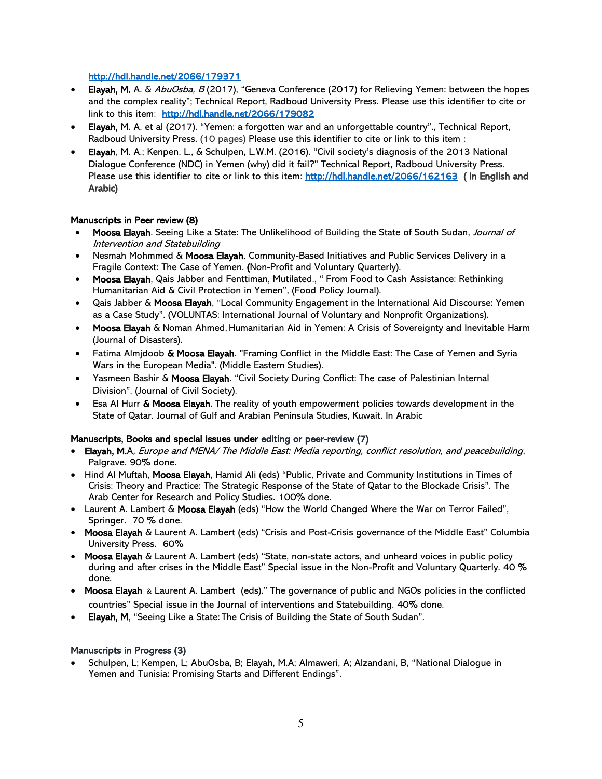## <http://hdl.handle.net/2066/179371>

- Elayah, M. A. & AbuOsba, B (2017), "Geneva Conference (2017) for Relieving Yemen: between the hopes and the complex reality"; Technical Report, Radboud University Press. Please use this identifier to cite or link to this item: <http://hdl.handle.net/2066/179082>
- Elayah, M. A. et al (2017). "Yemen: a forgotten war and an unforgettable country"., Technical Report, Radboud University Press. (10 pages) Please use this identifier to cite or link to this item :
- Elayah, M. A.; Kenpen, L., & Schulpen, L.W.M. (2016). "Civil society's diagnosis of the 2013 National Dialogue Conference (NDC) in Yemen (why) did it fail?" Technical Report, Radboud University Press. Please use this identifier to cite or link to this item:<http://hdl.handle.net/2066/162163>(In English and Arabic)

## Manuscripts in Peer review (8)

- Moosa Elayah. Seeing Like a State: The Unlikelihood of Building the State of South Sudan, Journal of Intervention and Statebuilding
- Nesmah Mohmmed & Moosa Elayah. Community-Based Initiatives and Public Services Delivery in a Fragile Context: The Case of Yemen. (Non-Profit and Voluntary Quarterly).
- Moosa Elayah, Qais Jabber and Fenttiman, Mutilated., " From Food to Cash Assistance: Rethinking Humanitarian Aid & Civil Protection in Yemen", (Food Policy Journal).
- Qais Jabber & Moosa Elayah, "Local Community Engagement in the International Aid Discourse: Yemen as a Case Study". (VOLUNTAS: International Journal of Voluntary and Nonprofit Organizations).
- Moosa Elayah & Noman Ahmed, Humanitarian Aid in Yemen: A Crisis of Sovereignty and Inevitable Harm (Journal of Disasters).
- Fatima Almidoob & Moosa Elayah. "Framing Conflict in the Middle East: The Case of Yemen and Syria Wars in the European Media". (Middle Eastern Studies).
- Yasmeen Bashir & Moosa Elayah. "Civil Society During Conflict: The case of Palestinian Internal Division". (Journal of Civil Society).
- Esa AI Hurr & Moosa Elayah. The reality of youth empowerment policies towards development in the State of Qatar. Journal of Gulf and Arabian Peninsula Studies, Kuwait. In Arabic

## Manuscripts, Books and special issues under editing or peer-review (7)

- Elayah, M.A, Europe and MENA/ The Middle East: Media reporting, conflict resolution, and peacebuilding, Palgrave. 90% done.
- Hind Al Muftah, Moosa Elayah, Hamid Ali (eds) "Public, Private and Community Institutions in Times of Crisis: Theory and Practice: The Strategic Response of the State of Qatar to the Blockade Crisis". The Arab Center for Research and Policy Studies. 100% done.
- Laurent A. Lambert & Moosa Elayah (eds) "How the World Changed Where the War on Terror Failed", Springer. 70 % done.
- Moosa Elayah & Laurent A. Lambert (eds) "Crisis and Post-Crisis governance of the Middle East" Columbia University Press. 60%
- Moosa Elayah & Laurent A. Lambert (eds) "State, non-state actors, and unheard voices in public policy during and after crises in the Middle East" Special issue in the Non-Profit and Voluntary Quarterly. 40 % done.
- Moosa Elayah & Laurent A. Lambert (eds)." The governance of public and NGOs policies in the conflicted countries" Special issue in the Journal of interventions and Statebuilding. 40% done.
- Elayah, M, "Seeing Like a State: The Crisis of Building the State of South Sudan".

## Manuscripts in Progress (3)

• Schulpen, L; Kempen, L; AbuOsba, B; Elayah, M.A; Almaweri, A; Alzandani, B, "National Dialogue in Yemen and Tunisia: Promising Starts and Different Endings".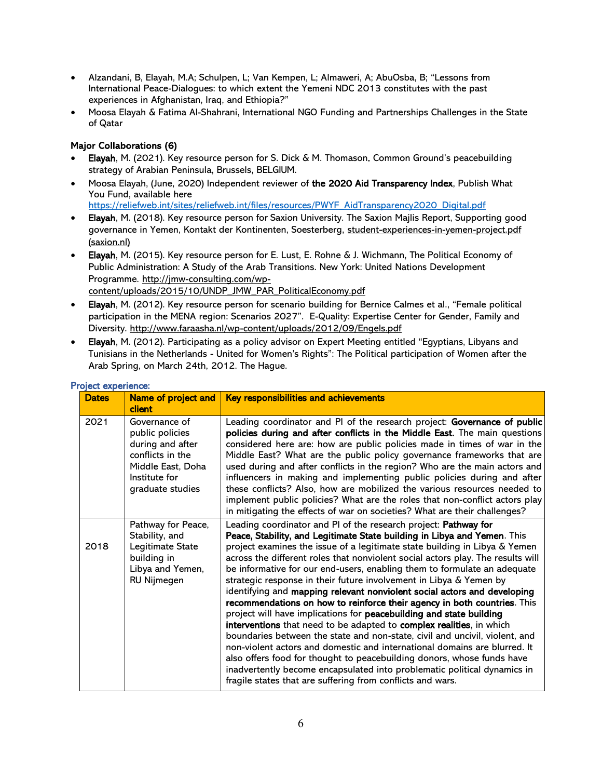- Alzandani, B, Elayah, M.A; Schulpen, L; Van Kempen, L; Almaweri, A; AbuOsba, B; "Lessons from International Peace-Dialogues: to which extent the Yemeni NDC 2013 constitutes with the past experiences in Afghanistan, Iraq, and Ethiopia?"
- Moosa Elayah & Fatima Al-Shahrani, International NGO Funding and Partnerships Challenges in the State of Qatar

## Major Collaborations (6)

- Elayah, M. (2021). Key resource person for S. Dick & M. Thomason. Common Ground's peacebuilding strategy of Arabian Peninsula, Brussels, BELGIUM.
- Moosa Elayah, (June, 2020) Independent reviewer of the 2020 Aid Transparency Index, Publish What You Fund, available here

[https://reliefweb.int/sites/reliefweb.int/files/resources/PWYF\\_AidTransparency2020\\_Digital.pdf](https://reliefweb.int/sites/reliefweb.int/files/resources/PWYF_AidTransparency2020_Digital.pdf)

- Elayah, M. (2018). Key resource person for Saxion University. The Saxion Majlis Report, Supporting good governance in Yemen, Kontakt der Kontinenten, Soesterberg, [student-experiences-in-yemen-project.pdf](https://www.saxion.nl/binaries/content/assets/onderzoek/areas--living/weerbare-democratie/student-experiences-in-yemen-project.pdf)  [\(saxion.nl\)](https://www.saxion.nl/binaries/content/assets/onderzoek/areas--living/weerbare-democratie/student-experiences-in-yemen-project.pdf)
- Elayah, M. (2015). Key resource person for E. Lust, E. Rohne & J. Wichmann, The Political Economy of Public Administration: A Study of the Arab Transitions. New York: United Nations Development Programme. [http://jmw-consulting.com/wp](http://jmw-consulting.com/wp-content/uploads/2015/10/UNDP_JMW_PAR_PoliticalEconomy.pdf)[content/uploads/2015/10/UNDP\\_JMW\\_PAR\\_PoliticalEconomy.pdf](http://jmw-consulting.com/wp-content/uploads/2015/10/UNDP_JMW_PAR_PoliticalEconomy.pdf)
- Elayah, M. (2012). Key resource person for scenario building for Bernice Calmes et al., "Female political participation in the MENA region: Scenarios 2027". E-Quality: Expertise Center for Gender, Family and Diversity.<http://www.faraasha.nl/wp-content/uploads/2012/09/Engels.pdf>
- Elayah, M. (2012). Participating as a policy advisor on Expert Meeting entitled "Egyptians, Libyans and Tunisians in the Netherlands - United for Women's Rights": The Political participation of Women after the Arab Spring, on March 24th, 2012. The Hague.

| <b>Dates</b> | Name of project and<br>client                                                                                                      | Key responsibilities and achievements                                                                                                                                                                                                                                                                                                                                                                                                                                                                                                                                                                                                                                                                                                                                                                                                                                                                                                                                                                                                                                                                                                                 |
|--------------|------------------------------------------------------------------------------------------------------------------------------------|-------------------------------------------------------------------------------------------------------------------------------------------------------------------------------------------------------------------------------------------------------------------------------------------------------------------------------------------------------------------------------------------------------------------------------------------------------------------------------------------------------------------------------------------------------------------------------------------------------------------------------------------------------------------------------------------------------------------------------------------------------------------------------------------------------------------------------------------------------------------------------------------------------------------------------------------------------------------------------------------------------------------------------------------------------------------------------------------------------------------------------------------------------|
| 2021         | Governance of<br>public policies<br>during and after<br>conflicts in the<br>Middle East, Doha<br>Institute for<br>graduate studies | Leading coordinator and PI of the research project: Governance of public<br>policies during and after conflicts in the Middle East. The main questions<br>considered here are: how are public policies made in times of war in the<br>Middle East? What are the public policy governance frameworks that are<br>used during and after conflicts in the region? Who are the main actors and<br>influencers in making and implementing public policies during and after<br>these conflicts? Also, how are mobilized the various resources needed to<br>implement public policies? What are the roles that non-conflict actors play<br>in mitigating the effects of war on societies? What are their challenges?                                                                                                                                                                                                                                                                                                                                                                                                                                         |
| 2018         | Pathway for Peace,<br>Stability, and<br>Legitimate State<br>building in<br>Libya and Yemen,<br>RU Nijmegen                         | Leading coordinator and PI of the research project: Pathway for<br>Peace, Stability, and Legitimate State building in Libya and Yemen. This<br>project examines the issue of a legitimate state building in Libya & Yemen<br>across the different roles that nonviolent social actors play. The results will<br>be informative for our end-users, enabling them to formulate an adequate<br>strategic response in their future involvement in Libya & Yemen by<br>identifying and mapping relevant nonviolent social actors and developing<br>recommendations on how to reinforce their agency in both countries. This<br>project will have implications for peacebuilding and state building<br>interventions that need to be adapted to complex realities, in which<br>boundaries between the state and non-state, civil and uncivil, violent, and<br>non-violent actors and domestic and international domains are blurred. It<br>also offers food for thought to peacebuilding donors, whose funds have<br>inadvertently become encapsulated into problematic political dynamics in<br>fragile states that are suffering from conflicts and wars. |

## Project experience: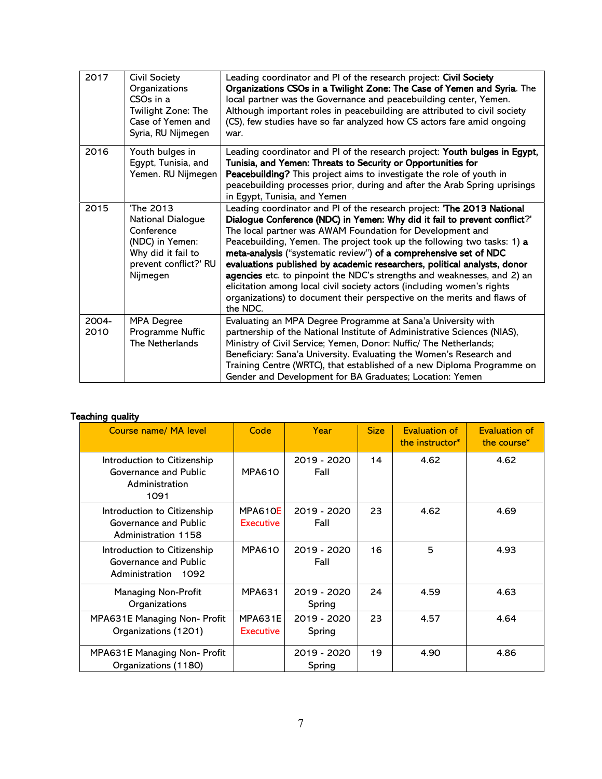| 2017          | <b>Civil Society</b><br>Organizations<br>CSO <sub>s</sub> in a<br>Twilight Zone: The<br>Case of Yemen and<br>Syria, RU Nijmegen | Leading coordinator and PI of the research project: Civil Society<br>Organizations CSOs in a Twilight Zone: The Case of Yemen and Syria. The<br>local partner was the Governance and peacebuilding center, Yemen.<br>Although important roles in peacebuilding are attributed to civil society<br>(CS), few studies have so far analyzed how CS actors fare amid ongoing<br>war.                                                                                                                                                                                                                                                                                                        |
|---------------|---------------------------------------------------------------------------------------------------------------------------------|-----------------------------------------------------------------------------------------------------------------------------------------------------------------------------------------------------------------------------------------------------------------------------------------------------------------------------------------------------------------------------------------------------------------------------------------------------------------------------------------------------------------------------------------------------------------------------------------------------------------------------------------------------------------------------------------|
| 2016          | Youth bulges in<br>Egypt, Tunisia, and<br>Yemen. RU Nijmegen                                                                    | Leading coordinator and PI of the research project: Youth bulges in Egypt,<br>Tunisia, and Yemen: Threats to Security or Opportunities for<br>Peacebuilding? This project aims to investigate the role of youth in<br>peacebuilding processes prior, during and after the Arab Spring uprisings<br>in Egypt, Tunisia, and Yemen                                                                                                                                                                                                                                                                                                                                                         |
| 2015          | The 2013<br>National Dialogue<br>Conference<br>(NDC) in Yemen:<br>Why did it fail to<br>prevent conflict?' RU<br>Nijmegen       | Leading coordinator and PI of the research project: The 2013 National<br>Dialogue Conference (NDC) in Yemen: Why did it fail to prevent conflict?'<br>The local partner was AWAM Foundation for Development and<br>Peacebuilding, Yemen. The project took up the following two tasks: 1) a<br>meta-analysis ("systematic review") of a comprehensive set of NDC<br>evaluations published by academic researchers, political analysts, donor<br>agencies etc. to pinpoint the NDC's strengths and weaknesses, and 2) an<br>elicitation among local civil society actors (including women's rights<br>organizations) to document their perspective on the merits and flaws of<br>the NDC. |
| 2004-<br>2010 | <b>MPA Degree</b><br>Programme Nuffic<br>The Netherlands                                                                        | Evaluating an MPA Degree Programme at Sana'a University with<br>partnership of the National Institute of Administrative Sciences (NIAS),<br>Ministry of Civil Service; Yemen, Donor: Nuffic/ The Netherlands;<br>Beneficiary: Sana'a University. Evaluating the Women's Research and<br>Training Centre (WRTC), that established of a new Diploma Programme on<br>Gender and Development for BA Graduates; Location: Yemen                                                                                                                                                                                                                                                              |

# Teaching quality

| Course name/ MA level                                                          | Code                        | Year                  | <b>Size</b> | <b>Evaluation of</b><br>the instructor* | <b>Evaluation of</b><br>the course* |
|--------------------------------------------------------------------------------|-----------------------------|-----------------------|-------------|-----------------------------------------|-------------------------------------|
| Introduction to Citizenship<br>Governance and Public<br>Administration<br>1091 | <b>MPA610</b>               | 2019 - 2020<br>Fall   | 14          | 4.62                                    | 4.62                                |
| Introduction to Citizenship<br>Governance and Public<br>Administration 1158    | MPA610E<br><b>Executive</b> | 2019 - 2020<br>Fall   | 23          | 4.62                                    | 4.69                                |
| Introduction to Citizenship<br>Governance and Public<br>Administration<br>1092 | <b>MPA610</b>               | 2019 - 2020<br>Fall   | 16          | 5                                       | 4.93                                |
| <b>Managing Non-Profit</b><br>Organizations                                    | <b>MPA631</b>               | 2019 - 2020<br>Spring | 24          | 4.59                                    | 4.63                                |
| MPA631E Managing Non- Profit<br>Organizations (1201)                           | MPA631E<br><b>Executive</b> | 2019 - 2020<br>Spring | 23          | 4.57                                    | 4.64                                |
| MPA631E Managing Non- Profit<br>Organizations (1180)                           |                             | 2019 - 2020<br>Spring | 19          | 4.90                                    | 4.86                                |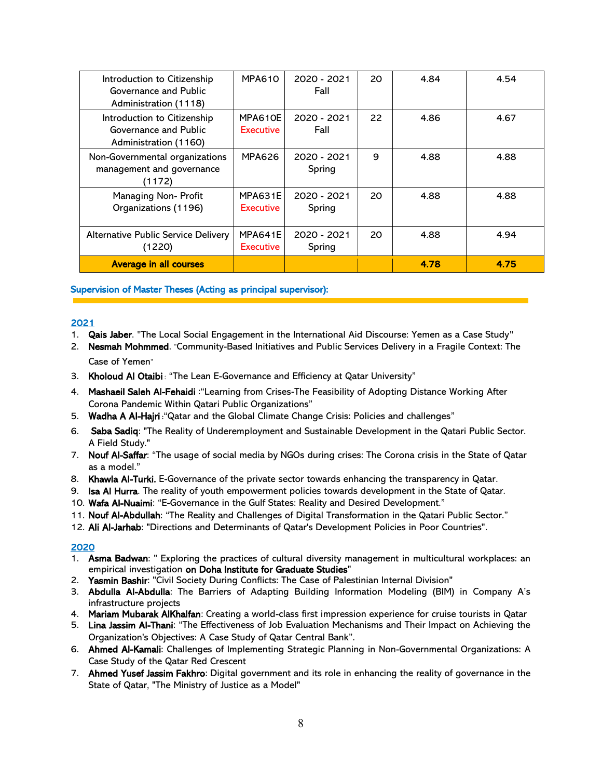| Introduction to Citizenship<br>Governance and Public<br>Administration (1118) | <b>MPA610</b>               | 2020 - 2021<br>Fall   | 20 | 4.84 | 4.54 |
|-------------------------------------------------------------------------------|-----------------------------|-----------------------|----|------|------|
| Introduction to Citizenship<br>Governance and Public<br>Administration (1160) | MPA610E<br><b>Executive</b> | 2020 - 2021<br>Fall   | 22 | 4.86 | 4.67 |
| Non-Governmental organizations<br>management and governance<br>(1172)         | <b>MPA626</b>               | 2020 - 2021<br>Spring | 9  | 4.88 | 4.88 |
| Managing Non- Profit<br>Organizations (1196)                                  | MPA631E<br>Executive        | 2020 - 2021<br>Spring | 20 | 4.88 | 4.88 |
| Alternative Public Service Delivery<br>(1220)                                 | MPA641E<br>Executive        | 2020 - 2021<br>Spring | 20 | 4.88 | 4.94 |
| <b>Average in all courses</b>                                                 |                             |                       |    | 4.78 | 4.75 |

Supervision of Master Theses (Acting as principal supervisor):

## 2021

- 1. Qais Jaber. "The Local Social Engagement in the International Aid Discourse: Yemen as a Case Study "
- 2. Nesmah Mohmmed. "Community-Based Initiatives and Public Services Delivery in a Fragile Context: The Case of Yemen"
- 3. Kholoud Al Otaibi : "The Lean E-Governance and Efficiency at Qatar University"
- 4. Mashaeil Saleh Al-Fehaidi : "Learning from Crises-The Feasibility of Adopting Distance Working After Corona Pandemic Within Qatari Public Organizations"
- 5. Wadha A Al-Hajri **:**"Qatar and the Global Climate Change Crisis: Policies and challenges"
- 6. Saba Sadiq: "The Reality of Underemployment and Sustainable Development in the Qatari Public Sector. A Field Study."
- 7. Nouf Al-Saffar: "The usage of social media by NGOs during crises: The Corona crisis in the State of Qatar as a model."
- 8. Khawla Al-Turki. E-Governance of the private sector towards enhancing the transparency in Qatar.
- 9. Isa Al Hurra. The reality of youth empowerment policies towards development in the State of Qatar.
- 10. Wafa Al-Nuaimi: "E-Governance in the Gulf States: Reality and Desired Development."
- 11. Nouf Al-Abdullah: "The Reality and Challenges of Digital Transformation in the Qatari Public Sector."
- 12. Ali Al-Jarhab: "Directions and Determinants of Qatar's Development Policies in Poor Countries".

#### 2020

- 1. Asma Badwan: " Exploring the practices of cultural diversity management in multicultural workplaces: an empirical investigation on Doha Institute for Graduate Studies"
- 2. Yasmin Bashir: "Civil Society During Conflicts: The Case of Palestinian Internal Division"
- 3. Abdulla Al-Abdulla: The Barriers of Adapting Building Information Modeling (BIM) in Company A's infrastructure projects
- 4. Mariam Mubarak AlKhalfan: Creating a world-class first impression experience for cruise tourists in Qatar
- 5. Lina Jassim Al-Thani: "The Effectiveness of Job Evaluation Mechanisms and Their Impact on Achieving the Organization's Objectives: A Case Study of Qatar Central Bank".
- 6. Ahmed Al-Kamali: Challenges of Implementing Strategic Planning in Non-Governmental Organizations: A Case Study of the Qatar Red Crescent
- 7. Ahmed Yusef Jassim Fakhro: Digital government and its role in enhancing the reality of governance in the State of Qatar, "The Ministry of Justice as a Model"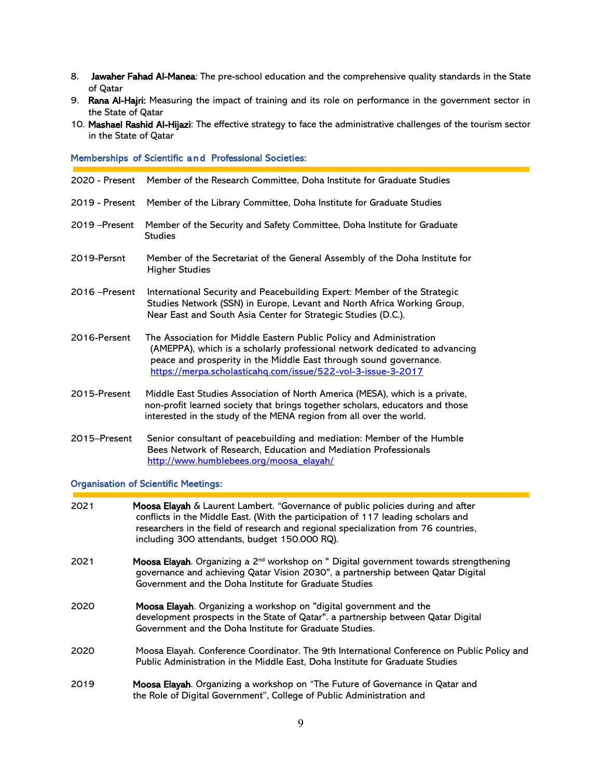- 8. Jawaher Fahad Al-Manea: The pre-school education and the comprehensive quality standards in the State of Qatar
- 9. Rana Al-Hajri: Measuring the impact of training and its role on performance in the government sector in the State of Qatar
- 10. Mashael Rashid Al-Hijazi: The effective strategy to face the administrative challenges of the tourism sector in the State of Qatar

#### Memberships of Scientific and Professional Societies:

| 2020 - Present | Member of the Research Committee, Doha Institute for Graduate Studies                                                                                                                                                                                                                  |
|----------------|----------------------------------------------------------------------------------------------------------------------------------------------------------------------------------------------------------------------------------------------------------------------------------------|
| 2019 - Present | Member of the Library Committee, Doha Institute for Graduate Studies                                                                                                                                                                                                                   |
| 2019 – Present | Member of the Security and Safety Committee, Doha Institute for Graduate<br><b>Studies</b>                                                                                                                                                                                             |
| 2019-Persnt    | Member of the Secretariat of the General Assembly of the Doha Institute for<br><b>Higher Studies</b>                                                                                                                                                                                   |
| 2016 – Present | International Security and Peacebuilding Expert: Member of the Strategic<br>Studies Network (SSN) in Europe, Levant and North Africa Working Group,<br>Near East and South Asia Center for Strategic Studies (D.C.).                                                                   |
| 2016-Persent   | The Association for Middle Eastern Public Policy and Administration<br>(AMEPPA), which is a scholarly professional network dedicated to advancing<br>peace and prosperity in the Middle East through sound governance.<br>https://merpa.scholasticahg.com/issue/522-vol-3-issue-3-2017 |
| 2015-Present   | Middle East Studies Association of North America (MESA), which is a private,<br>non-profit learned society that brings together scholars, educators and those<br>interested in the study of the MENA region from all over the world.                                                   |
| 2015-Present   | Senior consultant of peacebuilding and mediation: Member of the Humble<br>Bees Network of Research, Education and Mediation Professionals                                                                                                                                              |

[http://www.humblebees.org/moosa\\_elayah/](http://www.humblebees.org/moosa_elayah/)

## Organisation of Scientific Meetings:

| 2021 | Moosa Elayah & Laurent Lambert. "Governance of public policies during and after<br>conflicts in the Middle East. (With the participation of 117 leading scholars and<br>researchers in the field of research and regional specialization from 76 countries,<br>including 300 attendants, budget 150.000 RQ). |
|------|--------------------------------------------------------------------------------------------------------------------------------------------------------------------------------------------------------------------------------------------------------------------------------------------------------------|
| 2021 | Moosa Elayah. Organizing a 2 <sup>nd</sup> workshop on " Digital government towards strengthening<br>governance and achieving Qatar Vision 2030", a partnership between Qatar Digital<br>Government and the Doha Institute for Graduate Studies                                                              |
| 2020 | Moosa Elayah. Organizing a workshop on "digital government and the<br>development prospects in the State of Qatar". a partnership between Qatar Digital<br>Government and the Doha Institute for Graduate Studies.                                                                                           |
| 2020 | Moosa Elayah. Conference Coordinator. The 9th International Conference on Public Policy and<br>Public Administration in the Middle East, Doha Institute for Graduate Studies                                                                                                                                 |
| 2019 | Moosa Elayah. Organizing a workshop on "The Future of Governance in Qatar and<br>the Role of Digital Government", College of Public Administration and                                                                                                                                                       |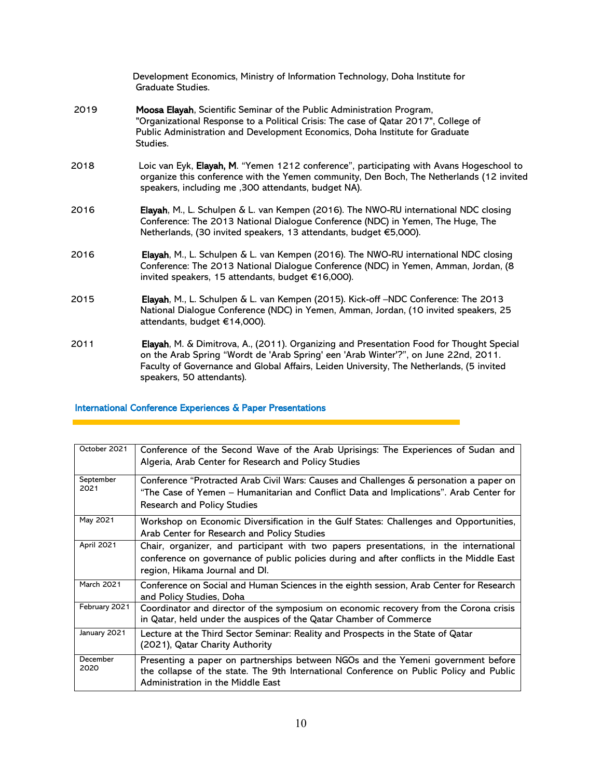|      | Development Economics, Ministry of Information Technology, Doha Institute for<br>Graduate Studies.                                                                                                                                                                          |
|------|-----------------------------------------------------------------------------------------------------------------------------------------------------------------------------------------------------------------------------------------------------------------------------|
| 2019 | Moosa Elayah, Scientific Seminar of the Public Administration Program,<br>"Organizational Response to a Political Crisis: The case of Qatar 2017", College of<br>Public Administration and Development Economics, Doha Institute for Graduate<br>Studies.                   |
| 2018 | Loic van Eyk, Elayah, M. "Yemen 1212 conference", participating with Avans Hogeschool to<br>organize this conference with the Yemen community, Den Boch, The Netherlands (12 invited<br>speakers, including me , 300 attendants, budget NA).                                |
| 2016 | Elayah, M., L. Schulpen & L. van Kempen (2016). The NWO-RU international NDC closing<br>Conference: The 2013 National Dialogue Conference (NDC) in Yemen, The Huge, The<br>Netherlands, (30 invited speakers, 13 attendants, budget €5,000).                                |
| 2016 | Elayah, M., L. Schulpen & L. van Kempen (2016). The NWO-RU international NDC closing<br>Conference: The 2013 National Dialogue Conference (NDC) in Yemen, Amman, Jordan, (8<br>invited speakers, 15 attendants, budget €16,000).                                            |
| 2015 | Elayah, M., L. Schulpen & L. van Kempen (2015). Kick-off-NDC Conference: The 2013<br>National Dialogue Conference (NDC) in Yemen, Amman, Jordan, (10 invited speakers, 25<br>attendants, budget €14,000).                                                                   |
| 2011 | Elayah, M. & Dimitrova, A., (2011). Organizing and Presentation Food for Thought Special<br>on the Arab Spring "Wordt de 'Arab Spring' een 'Arab Winter'?", on June 22nd, 2011.<br>Faculty of Governance and Global Affairs, Leiden University, The Netherlands, (5 invited |

# International Conference Experiences & Paper Presentations

speakers, 50 attendants).

| October 2021      | Conference of the Second Wave of the Arab Uprisings: The Experiences of Sudan and<br>Algeria, Arab Center for Research and Policy Studies                                                                              |
|-------------------|------------------------------------------------------------------------------------------------------------------------------------------------------------------------------------------------------------------------|
| September<br>2021 | Conference "Protracted Arab Civil Wars: Causes and Challenges & personation a paper on<br>"The Case of Yemen – Humanitarian and Conflict Data and Implications". Arab Center for<br><b>Research and Policy Studies</b> |
| May 2021          | Workshop on Economic Diversification in the Gulf States: Challenges and Opportunities,<br>Arab Center for Research and Policy Studies                                                                                  |
| <b>April 2021</b> | Chair, organizer, and participant with two papers presentations, in the international<br>conference on governance of public policies during and after conflicts in the Middle East<br>region, Hikama Journal and DI.   |
| <b>March 2021</b> | Conference on Social and Human Sciences in the eighth session, Arab Center for Research<br>and Policy Studies, Doha                                                                                                    |
| February 2021     | Coordinator and director of the symposium on economic recovery from the Corona crisis<br>in Qatar, held under the auspices of the Qatar Chamber of Commerce                                                            |
| January 2021      | Lecture at the Third Sector Seminar: Reality and Prospects in the State of Qatar<br>(2021), Qatar Charity Authority                                                                                                    |
| December<br>2020  | Presenting a paper on partnerships between NGOs and the Yemeni government before<br>the collapse of the state. The 9th International Conference on Public Policy and Public<br>Administration in the Middle East       |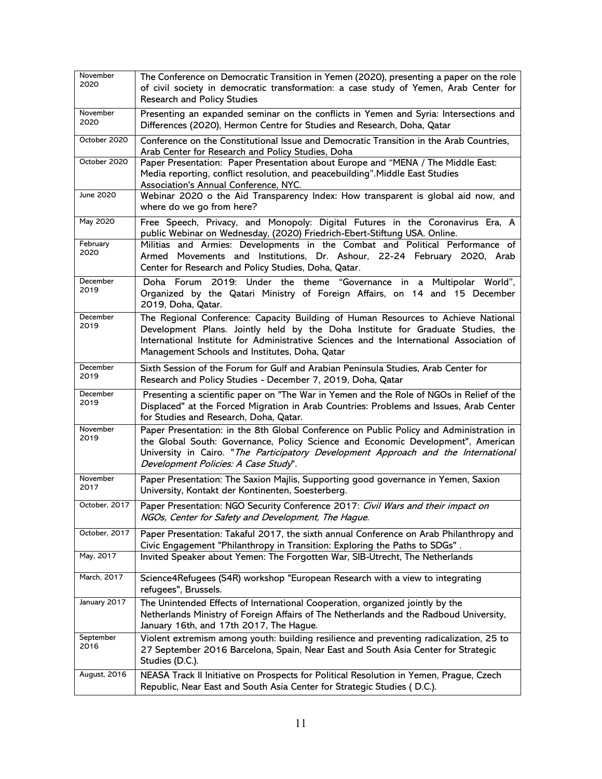| November<br>2020  | The Conference on Democratic Transition in Yemen (2020), presenting a paper on the role<br>of civil society in democratic transformation: a case study of Yemen, Arab Center for<br><b>Research and Policy Studies</b>                                                                                             |
|-------------------|--------------------------------------------------------------------------------------------------------------------------------------------------------------------------------------------------------------------------------------------------------------------------------------------------------------------|
| November<br>2020  | Presenting an expanded seminar on the conflicts in Yemen and Syria: Intersections and<br>Differences (2020), Hermon Centre for Studies and Research, Doha, Qatar                                                                                                                                                   |
| October 2020      | Conference on the Constitutional Issue and Democratic Transition in the Arab Countries,<br>Arab Center for Research and Policy Studies, Doha                                                                                                                                                                       |
| October 2020      | Paper Presentation: Paper Presentation about Europe and "MENA / The Middle East:<br>Media reporting, conflict resolution, and peacebuilding". Middle East Studies<br>Association's Annual Conference, NYC.                                                                                                         |
| June 2020         | Webinar 2020 o the Aid Transparency Index: How transparent is global aid now, and<br>where do we go from here?                                                                                                                                                                                                     |
| May 2020          | Free Speech, Privacy, and Monopoly: Digital Futures in the Coronavirus Era, A<br>public Webinar on Wednesday, (2020) Friedrich-Ebert-Stiftung USA. Online.                                                                                                                                                         |
| February<br>2020  | Militias and Armies: Developments in the Combat and Political Performance of<br>Armed Movements and Institutions, Dr. Ashour, 22-24 February 2020, Arab<br>Center for Research and Policy Studies, Doha, Qatar.                                                                                                    |
| December<br>2019  | Doha Forum 2019: Under the theme "Governance in a Multipolar World",<br>Organized by the Qatari Ministry of Foreign Affairs, on 14 and 15 December<br>2019, Doha, Qatar.                                                                                                                                           |
| December<br>2019  | The Regional Conference: Capacity Building of Human Resources to Achieve National<br>Development Plans. Jointly held by the Doha Institute for Graduate Studies, the<br>International Institute for Administrative Sciences and the International Association of<br>Management Schools and Institutes, Doha, Qatar |
| December<br>2019  | Sixth Session of the Forum for Gulf and Arabian Peninsula Studies, Arab Center for<br>Research and Policy Studies - December 7, 2019, Doha, Qatar                                                                                                                                                                  |
| December<br>2019  | Presenting a scientific paper on "The War in Yemen and the Role of NGOs in Relief of the<br>Displaced" at the Forced Migration in Arab Countries: Problems and Issues, Arab Center<br>for Studies and Research, Doha, Qatar.                                                                                       |
| November<br>2019  | Paper Presentation: in the 8th Global Conference on Public Policy and Administration in<br>the Global South: Governance, Policy Science and Economic Development", American<br>University in Cairo. "The Participatory Development Approach and the International<br>Development Policies: A Case Study".          |
| November<br>2017  | Paper Presentation: The Saxion Majlis, Supporting good governance in Yemen, Saxion<br>University, Kontakt der Kontinenten, Soesterberg.                                                                                                                                                                            |
| October, 2017     | Paper Presentation: NGO Security Conference 2017: Civil Wars and their impact on<br>NGOs, Center for Safety and Development, The Hague.                                                                                                                                                                            |
| October, 2017     | Paper Presentation: Takaful 2017, the sixth annual Conference on Arab Philanthropy and<br>Civic Engagement "Philanthropy in Transition: Exploring the Paths to SDGs".                                                                                                                                              |
| May, 2017         | Invited Speaker about Yemen: The Forgotten War, SIB-Utrecht, The Netherlands                                                                                                                                                                                                                                       |
| March, 2017       | Science4Refugees (S4R) workshop "European Research with a view to integrating<br>refugees", Brussels.                                                                                                                                                                                                              |
| January 2017      | The Unintended Effects of International Cooperation, organized jointly by the<br>Netherlands Ministry of Foreign Affairs of The Netherlands and the Radboud University,<br>January 16th, and 17th 2017, The Hague.                                                                                                 |
| September<br>2016 | Violent extremism among youth: building resilience and preventing radicalization, 25 to<br>27 September 2016 Barcelona, Spain, Near East and South Asia Center for Strategic<br>Studies (D.C.).                                                                                                                    |
| August, 2016      | NEASA Track II Initiative on Prospects for Political Resolution in Yemen, Prague, Czech<br>Republic, Near East and South Asia Center for Strategic Studies (D.C.).                                                                                                                                                 |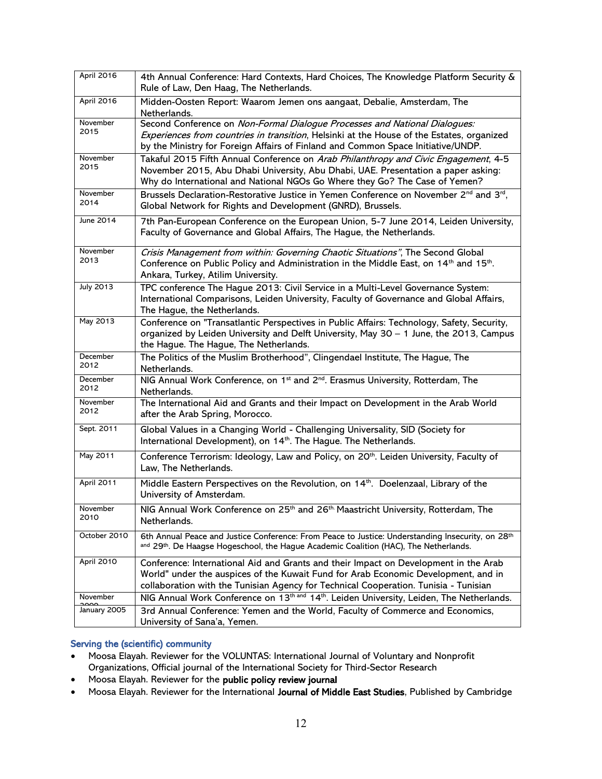| April 2016        | 4th Annual Conference: Hard Contexts, Hard Choices, The Knowledge Platform Security &<br>Rule of Law, Den Haag, The Netherlands.                                                                                                                                   |
|-------------------|--------------------------------------------------------------------------------------------------------------------------------------------------------------------------------------------------------------------------------------------------------------------|
| April 2016        | Midden-Oosten Report: Waarom Jemen ons aangaat, Debalie, Amsterdam, The<br>Netherlands.                                                                                                                                                                            |
| November<br>2015  | Second Conference on Non-Formal Dialogue Processes and National Dialogues:<br>Experiences from countries in transition, Helsinki at the House of the Estates, organized<br>by the Ministry for Foreign Affairs of Finland and Common Space Initiative/UNDP.        |
| November<br>2015  | Takaful 2015 Fifth Annual Conference on Arab Philanthropy and Civic Engagement, 4-5<br>November 2015, Abu Dhabi University, Abu Dhabi, UAE. Presentation a paper asking:<br>Why do International and National NGOs Go Where they Go? The Case of Yemen?            |
| November<br>2014  | Brussels Declaration-Restorative Justice in Yemen Conference on November 2 <sup>nd</sup> and 3 <sup>rd</sup> ,<br>Global Network for Rights and Development (GNRD), Brussels.                                                                                      |
| June 2014         | 7th Pan-European Conference on the European Union, 5-7 June 2014, Leiden University,<br>Faculty of Governance and Global Affairs, The Hague, the Netherlands.                                                                                                      |
| November<br>2013  | Crisis Management from within: Governing Chaotic Situations", The Second Global<br>Conference on Public Policy and Administration in the Middle East, on 14 <sup>th</sup> and 15 <sup>th</sup> .<br>Ankara, Turkey, Atilim University.                             |
| <b>July 2013</b>  | TPC conference The Hague 2013: Civil Service in a Multi-Level Governance System:<br>International Comparisons, Leiden University, Faculty of Governance and Global Affairs,<br>The Hague, the Netherlands.                                                         |
| May 2013          | Conference on "Transatlantic Perspectives in Public Affairs: Technology, Safety, Security,<br>organized by Leiden University and Delft University, May 30 - 1 June, the 2013, Campus<br>the Hague. The Hague, The Netherlands.                                     |
| December<br>2012  | The Politics of the Muslim Brotherhood", Clingendael Institute, The Hague, The<br>Netherlands.                                                                                                                                                                     |
| December<br>2012  | NIG Annual Work Conference, on 1 <sup>st</sup> and 2 <sup>nd</sup> . Erasmus University, Rotterdam, The<br>Netherlands.                                                                                                                                            |
| November<br>2012  | The International Aid and Grants and their Impact on Development in the Arab World<br>after the Arab Spring, Morocco.                                                                                                                                              |
| Sept. 2011        | Global Values in a Changing World - Challenging Universality, SID (Society for<br>International Development), on 14 <sup>th</sup> . The Hague. The Netherlands.                                                                                                    |
| May 2011          | Conference Terrorism: Ideology, Law and Policy, on 20 <sup>th</sup> . Leiden University, Faculty of<br>Law, The Netherlands.                                                                                                                                       |
| <b>April 2011</b> | Middle Eastern Perspectives on the Revolution, on 14th. Doelenzaal, Library of the<br>University of Amsterdam.                                                                                                                                                     |
| November<br>2010  | NIG Annual Work Conference on 25 <sup>th</sup> and 26 <sup>th</sup> Maastricht University, Rotterdam, The<br>Netherlands.                                                                                                                                          |
| October 2010      | 6th Annual Peace and Justice Conference: From Peace to Justice: Understanding Insecurity, on 28th<br>and 29th. De Haagse Hogeschool, the Hague Academic Coalition (HAC), The Netherlands.                                                                          |
| April 2010        | Conference: International Aid and Grants and their Impact on Development in the Arab<br>World" under the auspices of the Kuwait Fund for Arab Economic Development, and in<br>collaboration with the Tunisian Agency for Technical Cooperation. Tunisia - Tunisian |
| November          | NIG Annual Work Conference on 13 <sup>th and</sup> 14 <sup>th</sup> . Leiden University, Leiden, The Netherlands.                                                                                                                                                  |
| January 2005      | 3rd Annual Conference: Yemen and the World, Faculty of Commerce and Economics,<br>University of Sana'a, Yemen.                                                                                                                                                     |

## Serving the (scientific) community

- Moosa Elayah. Reviewer for the VOLUNTAS: International Journal of Voluntary and Nonprofit Organizations, Official journal of the International Society for Third-Sector Research
- Moosa Elayah. Reviewer for the public policy review journal
- Moosa Elayah. Reviewer for the International Journal of Middle East Studies, Published by Cambridge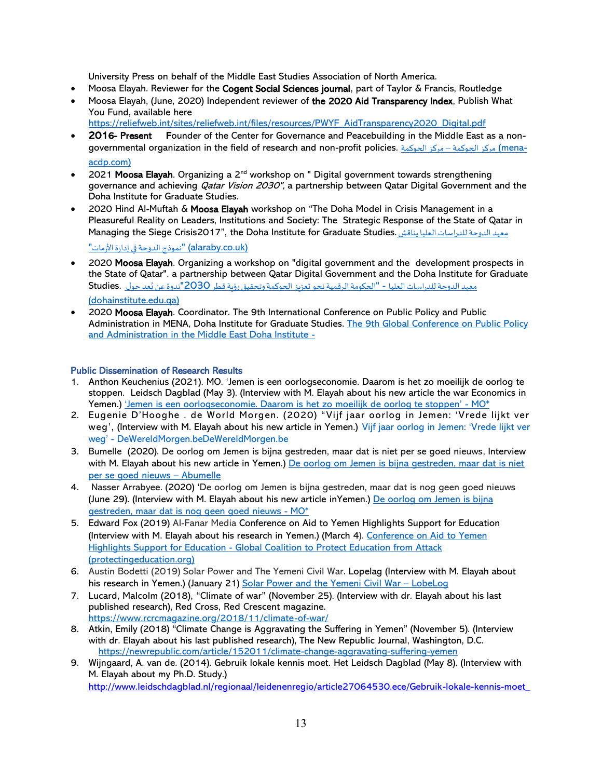University Press on behalf of the Middle East Studies Association of North America.

- Moosa Elayah. Reviewer for the Cogent Social Sciences journal, part of Taylor & Francis, Routledge
- Moosa Elayah, (June, 2020) Independent reviewer of the 2020 Aid Transparency Index, Publish What You Fund, available here

[https://reliefweb.int/sites/reliefweb.int/files/resources/PWYF\\_AidTransparency2020\\_Digital.pdf](https://reliefweb.int/sites/reliefweb.int/files/resources/PWYF_AidTransparency2020_Digital.pdf)

- 2016- Present Founder of the Center for Governance and Peacebuilding in the Middle East as a nongovernmental organization in the field of research and non-profit policies. [الحوكمة مركز –](https://www.mena-acdp.com/) الحوكمة مركز) men[a](https://www.mena-acdp.com/)[acdp.com\)](https://www.mena-acdp.com/)
- 2021 Moosa Elayah. Organizing a 2<sup>nd</sup> workshop on " Digital government towards strengthening governance and achieving *Qatar Vision 2030"*, a partnership between Qatar Digital Government and the Doha Institute for Graduate Studies.
- 2020 Hind Al-Muftah & Moosa Elayah workshop on "The Doha Model in Crisis Management in a Pleasureful Reality on Leaders, Institutions and Society: The Strategic Response of the State of Qatar in Managing the Siege Crisis2017", the Doha Institute for Graduate Studies.يناقش [الدوحةللدراساتالعليا](https://www.alaraby.co.uk/society/%D9%85%D8%B9%D9%87%D8%AF-%D8%A7%D9%84%D8%AF%D9%88%D8%AD%D8%A9-%D9%84%D9%84%D8%AF%D8%B1%D8%A7%D8%B3%D8%A7%D8%AA-%D8%A7%D9%84%D8%B9%D9%84%D9%8A%D8%A7-%D9%8A%D9%86%D8%A7%D9%82%D8%B4-%22%D9%86%D9%85%D9%88%D8%B0%D8%AC-%D8%A7%D9%84%D8%AF%D9%88%D8%AD%D8%A9-%D9%81%D9%8A-%D8%A5%D8%AF%D8%A7%D8%B1%D8%A9-%D8%A7%D9%84%D8%A3%D8%B2%D9%85%D8%A7%D8%AA%22) معهد

"نموذج الدوحة في إدارة الأزمات" (alaraby.co.uk)

- 2020 Moosa Elayah. Organizing a workshop on "digital government and the development prospects in the State of Qatar". a partnership between Qatar Digital Government and the Doha Institute for Graduate [م](https://www.dohainstitute.edu.qa/AR/News/Pages/remote-seminar.aspx)عهد الدوحة للدراسات العليا - "الحكومة الرقمية نحو تعزيز الحوكمة وتحقيق رؤية قطر 2030"ندوة عن بُعد حول Studies. .<br>ا [\(dohainstitute.edu.qa\)](https://www.dohainstitute.edu.qa/AR/News/Pages/remote-seminar.aspx)
- 2020 Moosa Elayah. Coordinator. The 9th International Conference on Public Policy and Public Administration in MENA, Doha Institute for Graduate Studies. The 9th Global Conference on Public Policy [and Administration in the Middle East Doha Institute -](https://www.dohainstitute.edu.qa/EN/News/Pages/AMEPPA.aspx)

## Public Dissemination of Research Results

- 1. Anthon Keuchenius (2021). MO. 'Jemen is een oorlogseconomie. Daarom is het zo moeilijk de oorlog te stoppen. Leidsch Dagblad (May 3). (Interview with M. Elayah about his new article the war Economics in Yemen.) ['Jemen is een oorlogseconomie. Daarom is het zo moeilijk de oorlog te stoppen'](https://www.mo.be/nieuws/jemen-oorlogseconomie-daarom-moeilijk-oorlog-stoppen) - MO\*
- 2. [Eugenie D'Hooghe](https://www.dewereldmorgen.be/custom-schrijver?q=Eugenie-D%E2%80%99Hooghe) [.](https://www.dewereldmorgen.be/schrijver/opinie/) de World Morgen. (2020) "Vijf jaar oorlog in Jemen: 'Vrede lijkt ver weg', (Interview with M. Elayah about his new article in Yemen.) Vijf jaar oorlog in Jemen: 'Vrede lijkt ver weg' - [DeWereldMorgen.beDeWereldMorgen.be](https://www.dewereldmorgen.be/artikel/2020/04/15/vijf-jaar-oorlog-in-jemen-vrede-lijkt-ver-weg/)
- 3. Bumelle [\(2020\)](https://abumelle.org/2020/06/29/de-oorlog-om-jemen-is-bijna-gestreden-maar-dat-is-niet-per-se-goed-nieuws/). De oorlog om Jemen is bijna gestreden, maar dat is niet per se goed nieuws, Interview with M. Elayah about his new article in Yemen.) [De oorlog om Jemen is bijna gestreden, maar dat is niet](https://abumelle.org/2020/06/29/de-oorlog-om-jemen-is-bijna-gestreden-maar-dat-is-niet-per-se-goed-nieuws/)  [per se goed nieuws](https://abumelle.org/2020/06/29/de-oorlog-om-jemen-is-bijna-gestreden-maar-dat-is-niet-per-se-goed-nieuws/) – Abumelle
- 4. Nasser Arrabyee. (2020) 'De oorlog om Jemen is bijna gestreden, maar dat is nog geen goed nieuws (June 29). (Interview with M. Elayah about his new article inYemen.) [De oorlog om Jemen is bijna](https://www.mo.be/analyse/burgeroorlog-jemen-einde-houthi)  [gestreden, maar dat is nog geen goed nieuws -](https://www.mo.be/analyse/burgeroorlog-jemen-einde-houthi) MO\*
- 5. Edward Fox (2019) Al-Fanar Media Conference on Aid to Yemen Highlights Support for Education (Interview with M. Elayah about his research in Yemen.) (March 4). [Conference on Aid to Yemen](https://protectingeducation.org/news/conference-on-aid-to-yemen-highlights-support-for-education/)  Highlights Support for Education - [Global Coalition to Protect Education from Attack](https://protectingeducation.org/news/conference-on-aid-to-yemen-highlights-support-for-education/)  [\(protectingeducation.org\)](https://protectingeducation.org/news/conference-on-aid-to-yemen-highlights-support-for-education/)
- 6. Austin Bodetti (2019) Solar Power and The Yemeni Civil War. Lopelag (Interview with M. Elayah about his research in Yemen.) (January 21) [Solar Power and the Yemeni Civil War](https://lobelog.com/solar-power-and-the-yemeni-civil-war/) - LobeLog
- 7. Lucard, Malcolm (2018), "Climate of war" (November 25). (Interview with dr. Elayah about his last published research), Red Cross, Red Crescent magazine. <https://www.rcrcmagazine.org/2018/11/climate-of-war/>
- 8. Atkin, Emily (2018) "Climate Change is Aggravating the Suffering in Yemen" (November 5). (Interview with dr. Elayah about his last published research), The New Republic Journal, Washington, D.C. <https://newrepublic.com/article/152011/climate-change-aggravating-suffering-yemen>
- 9. Wijngaard, A. van de. (2014). Gebruik lokale kennis moet. Het Leidsch Dagblad (May 8). (Interview with M. Elayah about my Ph.D. Study.) [http://www.leidschdagblad.nl/regionaal/leidenenregio/article27064530.ece/Gebruik-lokale-kennis-moet\\_](http://www.leidschdagblad.nl/regionaal/leidenenregio/article27064530.ece/Gebruik-lokale-kennis-moet_)

13